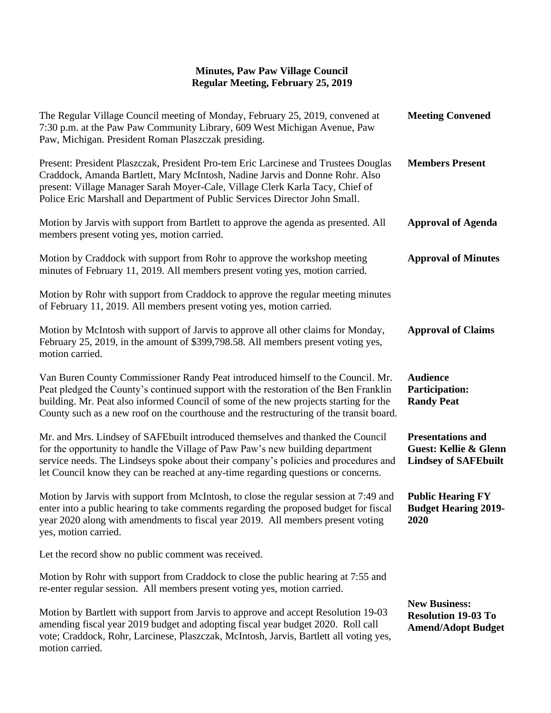| The Regular Village Council meeting of Monday, February 25, 2019, convened at<br>7:30 p.m. at the Paw Paw Community Library, 609 West Michigan Avenue, Paw<br>Paw, Michigan. President Roman Plaszczak presiding.                                                                                                                                           | <b>Meeting Convened</b>                                                                     |
|-------------------------------------------------------------------------------------------------------------------------------------------------------------------------------------------------------------------------------------------------------------------------------------------------------------------------------------------------------------|---------------------------------------------------------------------------------------------|
| Present: President Plaszczak, President Pro-tem Eric Larcinese and Trustees Douglas<br>Craddock, Amanda Bartlett, Mary McIntosh, Nadine Jarvis and Donne Rohr. Also<br>present: Village Manager Sarah Moyer-Cale, Village Clerk Karla Tacy, Chief of<br>Police Eric Marshall and Department of Public Services Director John Small.                         | <b>Members Present</b>                                                                      |
| Motion by Jarvis with support from Bartlett to approve the agenda as presented. All<br>members present voting yes, motion carried.                                                                                                                                                                                                                          | <b>Approval of Agenda</b>                                                                   |
| Motion by Craddock with support from Rohr to approve the workshop meeting<br>minutes of February 11, 2019. All members present voting yes, motion carried.                                                                                                                                                                                                  | <b>Approval of Minutes</b>                                                                  |
| Motion by Rohr with support from Craddock to approve the regular meeting minutes<br>of February 11, 2019. All members present voting yes, motion carried.                                                                                                                                                                                                   |                                                                                             |
| Motion by McIntosh with support of Jarvis to approve all other claims for Monday,<br>February 25, 2019, in the amount of \$399,798.58. All members present voting yes,<br>motion carried.                                                                                                                                                                   | <b>Approval of Claims</b>                                                                   |
| Van Buren County Commissioner Randy Peat introduced himself to the Council. Mr.<br>Peat pledged the County's continued support with the restoration of the Ben Franklin<br>building. Mr. Peat also informed Council of some of the new projects starting for the<br>County such as a new roof on the courthouse and the restructuring of the transit board. | <b>Audience</b><br><b>Participation:</b><br><b>Randy Peat</b>                               |
| Mr. and Mrs. Lindsey of SAFEbuilt introduced themselves and thanked the Council<br>for the opportunity to handle the Village of Paw Paw's new building department<br>service needs. The Lindseys spoke about their company's policies and procedures and<br>let Council know they can be reached at any-time regarding questions or concerns.               | <b>Presentations and</b><br><b>Guest: Kellie &amp; Glenn</b><br><b>Lindsey of SAFEbuilt</b> |
| Motion by Jarvis with support from McIntosh, to close the regular session at 7:49 and<br>enter into a public hearing to take comments regarding the proposed budget for fiscal<br>year 2020 along with amendments to fiscal year 2019. All members present voting<br>yes, motion carried.                                                                   | <b>Public Hearing FY</b><br><b>Budget Hearing 2019-</b><br>2020                             |
| Let the record show no public comment was received.                                                                                                                                                                                                                                                                                                         |                                                                                             |
| Motion by Rohr with support from Craddock to close the public hearing at 7:55 and<br>re-enter regular session. All members present voting yes, motion carried.                                                                                                                                                                                              |                                                                                             |
| Motion by Bartlett with support from Jarvis to approve and accept Resolution 19-03<br>amending fiscal year 2019 budget and adopting fiscal year budget 2020. Roll call<br>vote; Craddock, Rohr, Larcinese, Plaszczak, McIntosh, Jarvis, Bartlett all voting yes,<br>motion carried.                                                                         | <b>New Business:</b><br><b>Resolution 19-03 To</b><br><b>Amend/Adopt Budget</b>             |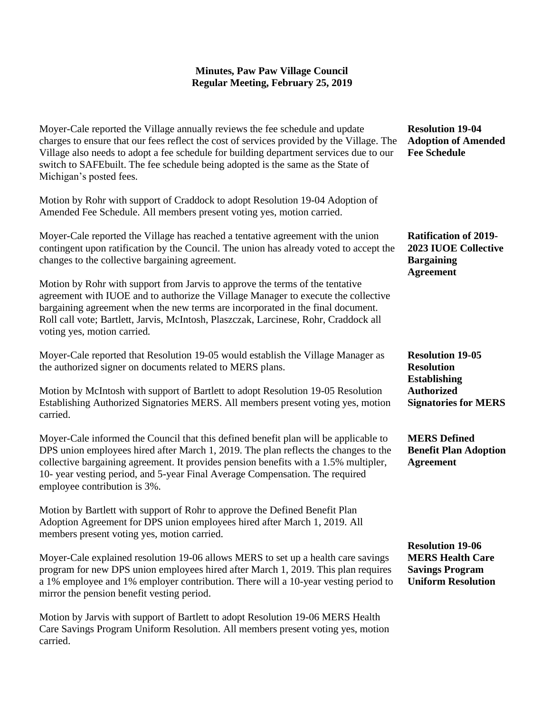Moyer-Cale reported the Village annually reviews the fee schedule and update charges to ensure that our fees reflect the cost of services provided by the Village. The Village also needs to adopt a fee schedule for building department services due to our switch to SAFEbuilt. The fee schedule being adopted is the same as the State of Michigan's posted fees.

Motion by Rohr with support of Craddock to adopt Resolution 19-04 Adoption of Amended Fee Schedule. All members present voting yes, motion carried.

Moyer-Cale reported the Village has reached a tentative agreement with the union contingent upon ratification by the Council. The union has already voted to accept the changes to the collective bargaining agreement.

Motion by Rohr with support from Jarvis to approve the terms of the tentative agreement with IUOE and to authorize the Village Manager to execute the collective bargaining agreement when the new terms are incorporated in the final document. Roll call vote; Bartlett, Jarvis, McIntosh, Plaszczak, Larcinese, Rohr, Craddock all voting yes, motion carried.

Moyer-Cale reported that Resolution 19-05 would establish the Village Manager as the authorized signer on documents related to MERS plans.

Motion by McIntosh with support of Bartlett to adopt Resolution 19-05 Resolution Establishing Authorized Signatories MERS. All members present voting yes, motion carried.

Moyer-Cale informed the Council that this defined benefit plan will be applicable to DPS union employees hired after March 1, 2019. The plan reflects the changes to the collective bargaining agreement. It provides pension benefits with a 1.5% multipler, 10- year vesting period, and 5-year Final Average Compensation. The required employee contribution is 3%.

Motion by Bartlett with support of Rohr to approve the Defined Benefit Plan Adoption Agreement for DPS union employees hired after March 1, 2019. All members present voting yes, motion carried.

Moyer-Cale explained resolution 19-06 allows MERS to set up a health care savings program for new DPS union employees hired after March 1, 2019. This plan requires a 1% employee and 1% employer contribution. There will a 10-year vesting period to mirror the pension benefit vesting period.

Motion by Jarvis with support of Bartlett to adopt Resolution 19-06 MERS Health Care Savings Program Uniform Resolution. All members present voting yes, motion carried.

**Resolution 19-04 Adoption of Amended Fee Schedule**

**Ratification of 2019- 2023 IUOE Collective Bargaining Agreement**

**Resolution 19-05 Resolution Establishing Authorized Signatories for MERS**

**MERS Defined Benefit Plan Adoption Agreement**

**Resolution 19-06 MERS Health Care Savings Program Uniform Resolution**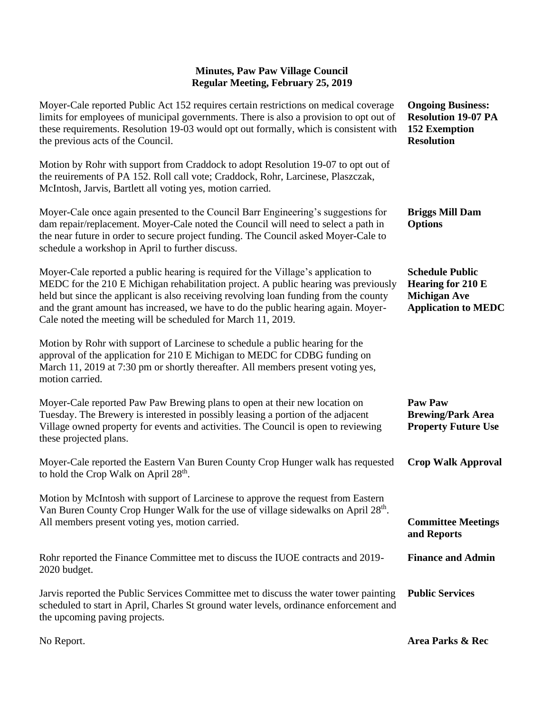| Moyer-Cale reported Public Act 152 requires certain restrictions on medical coverage<br>limits for employees of municipal governments. There is also a provision to opt out of<br>these requirements. Resolution 19-03 would opt out formally, which is consistent with<br>the previous acts of the Council.                                                                                                            | <b>Ongoing Business:</b><br><b>Resolution 19-07 PA</b><br><b>152 Exemption</b><br><b>Resolution</b>     |
|-------------------------------------------------------------------------------------------------------------------------------------------------------------------------------------------------------------------------------------------------------------------------------------------------------------------------------------------------------------------------------------------------------------------------|---------------------------------------------------------------------------------------------------------|
| Motion by Rohr with support from Craddock to adopt Resolution 19-07 to opt out of<br>the reuirements of PA 152. Roll call vote; Craddock, Rohr, Larcinese, Plaszczak,<br>McIntosh, Jarvis, Bartlett all voting yes, motion carried.                                                                                                                                                                                     |                                                                                                         |
| Moyer-Cale once again presented to the Council Barr Engineering's suggestions for<br>dam repair/replacement. Moyer-Cale noted the Council will need to select a path in<br>the near future in order to secure project funding. The Council asked Moyer-Cale to<br>schedule a workshop in April to further discuss.                                                                                                      | <b>Briggs Mill Dam</b><br><b>Options</b>                                                                |
| Moyer-Cale reported a public hearing is required for the Village's application to<br>MEDC for the 210 E Michigan rehabilitation project. A public hearing was previously<br>held but since the applicant is also receiving revolving loan funding from the county<br>and the grant amount has increased, we have to do the public hearing again. Moyer-<br>Cale noted the meeting will be scheduled for March 11, 2019. | <b>Schedule Public</b><br><b>Hearing for 210 E</b><br><b>Michigan Ave</b><br><b>Application to MEDC</b> |
| Motion by Rohr with support of Larcinese to schedule a public hearing for the<br>approval of the application for 210 E Michigan to MEDC for CDBG funding on<br>March 11, 2019 at 7:30 pm or shortly thereafter. All members present voting yes,<br>motion carried.                                                                                                                                                      |                                                                                                         |
| Moyer-Cale reported Paw Paw Brewing plans to open at their new location on<br>Tuesday. The Brewery is interested in possibly leasing a portion of the adjacent<br>Village owned property for events and activities. The Council is open to reviewing<br>these projected plans.                                                                                                                                          | <b>Paw Paw</b><br><b>Brewing/Park Area</b><br><b>Property Future Use</b>                                |
| Moyer-Cale reported the Eastern Van Buren County Crop Hunger walk has requested<br>to hold the Crop Walk on April 28 <sup>th</sup> .                                                                                                                                                                                                                                                                                    | <b>Crop Walk Approval</b>                                                                               |
| Motion by McIntosh with support of Larcinese to approve the request from Eastern<br>Van Buren County Crop Hunger Walk for the use of village sidewalks on April 28 <sup>th</sup> .<br>All members present voting yes, motion carried.                                                                                                                                                                                   | <b>Committee Meetings</b><br>and Reports                                                                |
| Rohr reported the Finance Committee met to discuss the IUOE contracts and 2019-<br>2020 budget.                                                                                                                                                                                                                                                                                                                         | <b>Finance and Admin</b>                                                                                |
| Jarvis reported the Public Services Committee met to discuss the water tower painting<br>scheduled to start in April, Charles St ground water levels, ordinance enforcement and<br>the upcoming paving projects.                                                                                                                                                                                                        | <b>Public Services</b>                                                                                  |
| No Report.                                                                                                                                                                                                                                                                                                                                                                                                              | Area Parks & Rec                                                                                        |